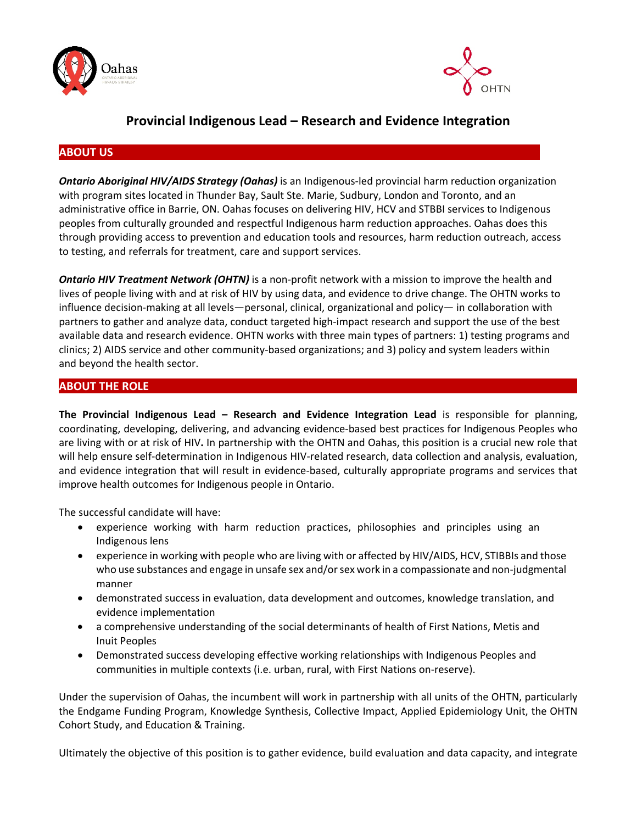



# **Provincial Indigenous Lead – Research and Evidence Integration**

## **ABOUT US**

*Ontario Aboriginal HIV/AIDS Strategy (Oahas)* is an Indigenous-led provincial harm reduction organization with program sites located in Thunder Bay, Sault Ste. Marie, Sudbury, London and Toronto, and an administrative office in Barrie, ON. Oahas focuses on delivering HIV, HCV and STBBI services to Indigenous peoples from culturally grounded and respectful Indigenous harm reduction approaches. Oahas does this through providing access to prevention and education tools and resources, harm reduction outreach, access to testing, and referrals for treatment, care and support services.

**Ontario HIV Treatment Network (OHTN)** is a non-profit network with a mission to improve the health and lives of people living with and at risk of HIV by using data, and evidence to drive change. The OHTN works to influence decision-making at all levels—personal, clinical, organizational and policy— in collaboration with partners to gather and analyze data, conduct targeted high-impact research and support the use of the best available data and research evidence. OHTN works with three main types of partners: 1) testing programs and clinics; 2) AIDS service and other community-based organizations; and 3) policy and system leaders within and beyond the health sector.

### **ABOUT THE ROLE**

**The Provincial Indigenous Lead – Research and Evidence Integration Lead** is responsible for planning, coordinating, developing, delivering, and advancing evidence-based best practices for Indigenous Peoples who are living with or at risk of HIV**.** In partnership with the OHTN and Oahas, this position is a crucial new role that will help ensure self-determination in Indigenous HIV-related research, data collection and analysis, evaluation, and evidence integration that will result in evidence-based, culturally appropriate programs and services that improve health outcomes for Indigenous people in Ontario.

The successful candidate will have:

- experience working with harm reduction practices, philosophies and principles using an Indigenous lens
- experience in working with people who are living with or affected by HIV/AIDS, HCV, STIBBIs and those who use substances and engage in unsafe sex and/or sex work in a compassionate and non-judgmental manner
- demonstrated success in evaluation, data development and outcomes, knowledge translation, and evidence implementation
- a comprehensive understanding of the social determinants of health of First Nations, Metis and Inuit Peoples
- Demonstrated success developing effective working relationships with Indigenous Peoples and communities in multiple contexts (i.e. urban, rural, with First Nations on-reserve).

Under the supervision of Oahas, the incumbent will work in partnership with all units of the OHTN, particularly the Endgame Funding Program, Knowledge Synthesis, Collective Impact, Applied Epidemiology Unit, the OHTN Cohort Study, and Education & Training.

Ultimately the objective of this position is to gather evidence, build evaluation and data capacity, and integrate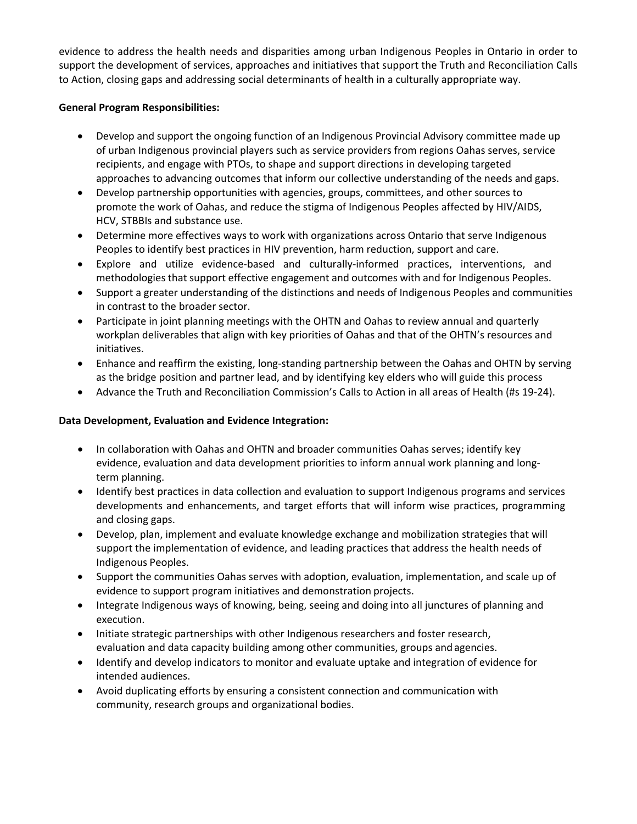evidence to address the health needs and disparities among urban Indigenous Peoples in Ontario in order to support the development of services, approaches and initiatives that support the Truth and Reconciliation Calls to Action, closing gaps and addressing social determinants of health in a culturally appropriate way.

#### **General Program Responsibilities:**

- Develop and support the ongoing function of an Indigenous Provincial Advisory committee made up of urban Indigenous provincial players such as service providers from regions Oahas serves, service recipients, and engage with PTOs, to shape and support directions in developing targeted approaches to advancing outcomes that inform our collective understanding of the needs and gaps.
- Develop partnership opportunities with agencies, groups, committees, and other sources to promote the work of Oahas, and reduce the stigma of Indigenous Peoples affected by HIV/AIDS, HCV, STBBIs and substance use.
- Determine more effectives ways to work with organizations across Ontario that serve Indigenous Peoples to identify best practices in HIV prevention, harm reduction, support and care.
- Explore and utilize evidence-based and culturally-informed practices, interventions, and methodologies that support effective engagement and outcomes with and for Indigenous Peoples.
- Support a greater understanding of the distinctions and needs of Indigenous Peoples and communities in contrast to the broader sector.
- Participate in joint planning meetings with the OHTN and Oahas to review annual and quarterly workplan deliverables that align with key priorities of Oahas and that of the OHTN's resources and initiatives.
- Enhance and reaffirm the existing, long-standing partnership between the Oahas and OHTN by serving as the bridge position and partner lead, and by identifying key elders who will guide this process
- Advance the Truth and Reconciliation Commission's Calls to Action in all areas of Health (#s 19-24).

#### **Data Development, Evaluation and Evidence Integration:**

- In collaboration with Oahas and OHTN and broader communities Oahas serves; identify key evidence, evaluation and data development priorities to inform annual work planning and longterm planning.
- Identify best practices in data collection and evaluation to support Indigenous programs and services developments and enhancements, and target efforts that will inform wise practices, programming and closing gaps.
- Develop, plan, implement and evaluate knowledge exchange and mobilization strategies that will support the implementation of evidence, and leading practices that address the health needs of Indigenous Peoples.
- Support the communities Oahas serves with adoption, evaluation, implementation, and scale up of evidence to support program initiatives and demonstration projects.
- Integrate Indigenous ways of knowing, being, seeing and doing into all junctures of planning and execution.
- Initiate strategic partnerships with other Indigenous researchers and foster research, evaluation and data capacity building among other communities, groups and agencies.
- Identify and develop indicators to monitor and evaluate uptake and integration of evidence for intended audiences.
- Avoid duplicating efforts by ensuring a consistent connection and communication with community, research groups and organizational bodies.